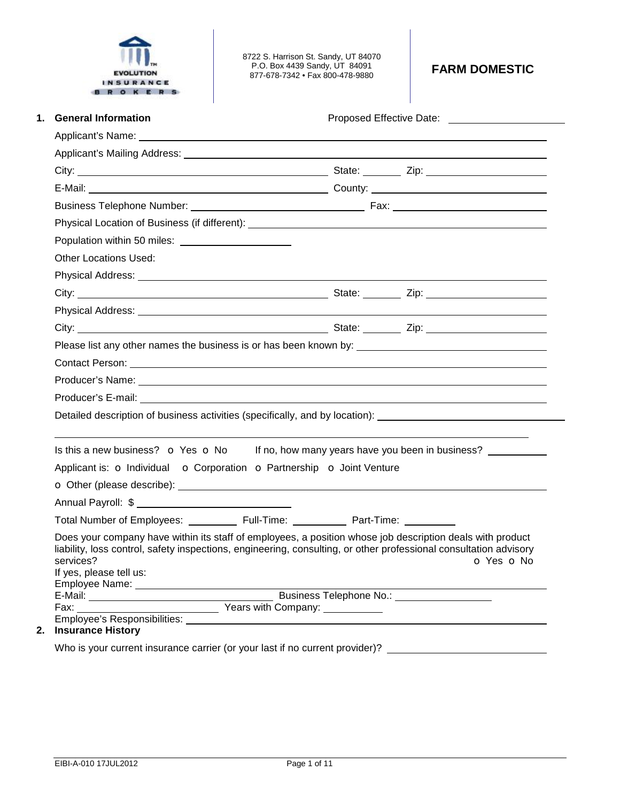

8722 S. Harrison St. Sandy, UT 84070 P.O. Box 4439 Sandy, UT 84091 877-678-7342 • Fax 800-478-9880 **FARM DOMESTIC** 

| <b>General Information</b>                                                                                                                                                                                                                                             |                                              |
|------------------------------------------------------------------------------------------------------------------------------------------------------------------------------------------------------------------------------------------------------------------------|----------------------------------------------|
|                                                                                                                                                                                                                                                                        |                                              |
|                                                                                                                                                                                                                                                                        |                                              |
|                                                                                                                                                                                                                                                                        |                                              |
|                                                                                                                                                                                                                                                                        |                                              |
|                                                                                                                                                                                                                                                                        |                                              |
|                                                                                                                                                                                                                                                                        |                                              |
| Population within 50 miles:<br><u> and</u> the miles:                                                                                                                                                                                                                  |                                              |
| <b>Other Locations Used:</b>                                                                                                                                                                                                                                           |                                              |
|                                                                                                                                                                                                                                                                        |                                              |
|                                                                                                                                                                                                                                                                        |                                              |
|                                                                                                                                                                                                                                                                        |                                              |
|                                                                                                                                                                                                                                                                        |                                              |
|                                                                                                                                                                                                                                                                        |                                              |
|                                                                                                                                                                                                                                                                        |                                              |
|                                                                                                                                                                                                                                                                        |                                              |
|                                                                                                                                                                                                                                                                        |                                              |
| Detailed description of business activities (specifically, and by location): _______________________                                                                                                                                                                   |                                              |
|                                                                                                                                                                                                                                                                        |                                              |
| Is this a new business? $\bullet$ Yes $\bullet$ No If no, how many years have you been in business?                                                                                                                                                                    |                                              |
| Applicant is: O Individual O Corporation O Partnership O Joint Venture                                                                                                                                                                                                 |                                              |
| O Other (please describe): <u>contract and contract and contract and contract and contract and contract and contract and contract and contract and contract and contract and contract and contract and contract and contract and</u>                                   |                                              |
| Annual Payroll: \$                                                                                                                                                                                                                                                     |                                              |
|                                                                                                                                                                                                                                                                        |                                              |
| Does your company have within its staff of employees, a position whose job description deals with product<br>liability, loss control, safety inspections, engineering, consulting, or other professional consultation advisory<br>services?<br>If yes, please tell us: | <b>Example 2</b> O Yes <b>O</b> No           |
|                                                                                                                                                                                                                                                                        |                                              |
|                                                                                                                                                                                                                                                                        | Business Telephone No.: ____________________ |

Who is your current insurance carrier (or your last if no current provider)? \_\_\_\_\_\_\_\_\_\_\_\_\_\_\_\_\_\_\_\_\_\_\_\_\_\_\_\_\_\_\_\_\_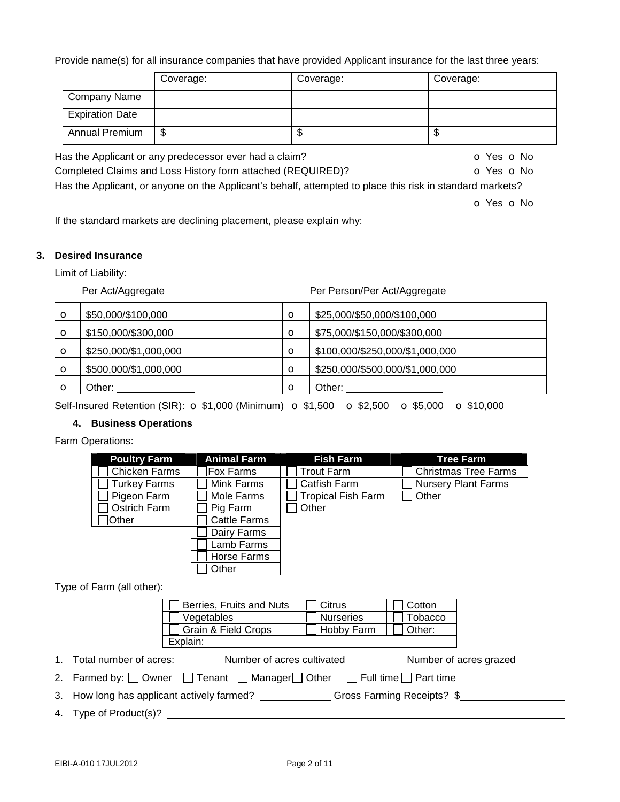### Provide name(s) for all insurance companies that have provided Applicant insurance for the last three years:

|                        | Coverage:                                              | Coverage: | Coverage:              |
|------------------------|--------------------------------------------------------|-----------|------------------------|
| Company Name           |                                                        |           |                        |
| <b>Expiration Date</b> |                                                        |           |                        |
| <b>Annual Premium</b>  | S                                                      | J         | \$                     |
|                        | las the Annlicant or any predecessor ever had a claim? |           | $\sim$ Voc. $\sim$ No. |

Has the Applicant or any predecessor ever had a claim?  $\bullet$  Yes  $\bullet$  No Completed Claims and Loss History form attached (REQUIRED)? **o** Yes **o** No Has the Applicant, or anyone on the Applicant's behalf, attempted to place this risk in standard markets?

o Yes o No

If the standard markets are declining placement, please explain why:

### **3. Desired Insurance**

Limit of Liability:

Per Act/Aggregate Per Person/Per Act/Aggregate

| $\circ$ | \$50,000/\$100,000    | $\circ$ | \$25,000/\$50,000/\$100,000     |
|---------|-----------------------|---------|---------------------------------|
| O       | \$150,000/\$300,000   | O       | \$75,000/\$150,000/\$300,000    |
| О       | \$250,000/\$1,000,000 | $\circ$ | \$100,000/\$250,000/\$1,000,000 |
| $\circ$ | \$500,000/\$1,000,000 | $\circ$ | \$250,000/\$500,000/\$1,000,000 |
|         | Other:                | $\circ$ | Other:                          |

Self-Insured Retention (SIR):  $\sigma$  \$1,000 (Minimum)  $\sigma$  \$1,500  $\sigma$  \$2,500  $\sigma$  \$5,000  $\sigma$  \$10,000

### **4. Business Operations**

Farm Operations:

| <b>Poultry Farm</b>  | <b>Animal Farm</b>  | <b>Fish Farm</b>          | <b>Tree Farm</b>            |
|----------------------|---------------------|---------------------------|-----------------------------|
| <b>Chicken Farms</b> | <b>Fox Farms</b>    | Trout Farm                | <b>Christmas Tree Farms</b> |
| Turkey Farms         | Mink Farms          | Catfish Farm              | <b>Nursery Plant Farms</b>  |
| Pigeon Farm          | Mole Farms          | <b>Tropical Fish Farm</b> | Other                       |
| Ostrich Farm         | Pig Farm            | Other                     |                             |
| Other                | <b>Cattle Farms</b> |                           |                             |
|                      | Dairy Farms         |                           |                             |
|                      | Lamb Farms          |                           |                             |
|                      | Horse Farms         |                           |                             |
|                      | Other               |                           |                             |

Type of Farm (all other):

| Berries, Fruits and Nuts | l Citrus         | Cotton  |
|--------------------------|------------------|---------|
| Vegetables               | <b>Nurseries</b> | Tobacco |
| Grain & Field Crops      | Hobby Farm       | Other:  |
| Explain:                 |                  |         |

1. Total number of acres: Number of acres cultivated Number of acres grazed Number of acres grazed

2. Farmed by:  $\Box$  Owner  $\Box$  Tenant  $\Box$  Manager  $\Box$  Other  $\Box$  Full time  $\Box$  Part time

3. How long has applicant actively farmed? Gross Farming Receipts? \$

4. Type of Product(s)?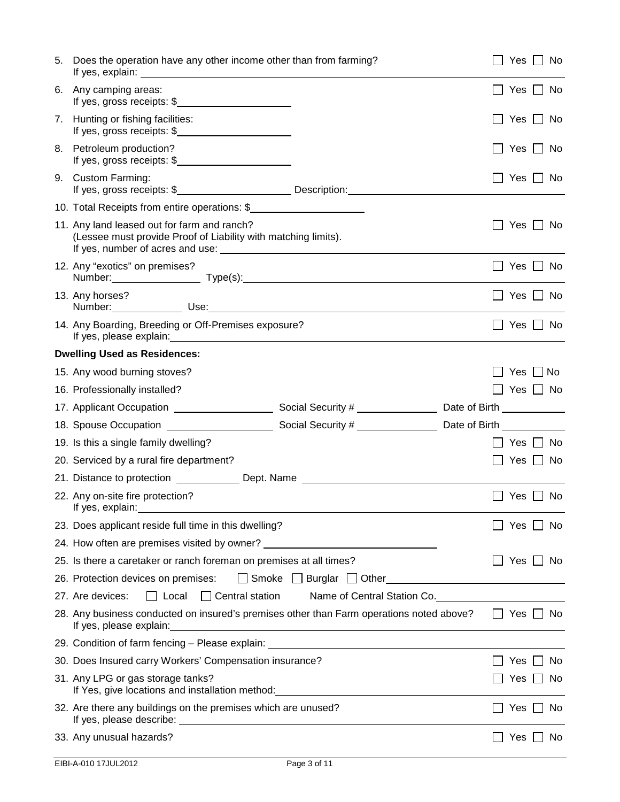| 5. | Does the operation have any other income other than from farming?                                                                                                                                                                                                |                             | Yes $\Box$ No                 |  |
|----|------------------------------------------------------------------------------------------------------------------------------------------------------------------------------------------------------------------------------------------------------------------|-----------------------------|-------------------------------|--|
| 6. | Any camping areas:<br>If yes, gross receipts: \$                                                                                                                                                                                                                 |                             | Yes $\Box$ No<br>$\mathbf{I}$ |  |
| 7. | Hunting or fishing facilities:<br>If yes, gross receipts: \$                                                                                                                                                                                                     |                             | Yes $\Box$ No                 |  |
| 8. | Petroleum production?<br>If yes, gross receipts: \$                                                                                                                                                                                                              |                             | Yes $\Box$ No                 |  |
|    | 9. Custom Farming:                                                                                                                                                                                                                                               |                             | Yes $\Box$ No                 |  |
|    | 10. Total Receipts from entire operations: \$                                                                                                                                                                                                                    |                             |                               |  |
|    | 11. Any land leased out for farm and ranch?<br>(Lessee must provide Proof of Liability with matching limits).                                                                                                                                                    |                             | No<br>Yes                     |  |
|    | 12. Any "exotics" on premises?<br>Number: Type(s): Type(s): Type(s): Type(s): Type(s): Type(s): Type(s): Type(s): Type(s): Type(s): Type(s): Type(s): Type(s): Type(s): Type(s): Type(s): Type(s): Type(s): Type(s): Type(s): Type(s): Type(s): Type(s): Type(s) |                             | $Yes \perp No$                |  |
|    | 13. Any horses?                                                                                                                                                                                                                                                  |                             | Yes $\Box$ No                 |  |
|    | 14. Any Boarding, Breeding or Off-Premises exposure?                                                                                                                                                                                                             |                             | Yes $\Box$ No                 |  |
|    | <b>Dwelling Used as Residences:</b>                                                                                                                                                                                                                              |                             |                               |  |
|    | 15. Any wood burning stoves?                                                                                                                                                                                                                                     |                             | $Yes \mid \mid No$            |  |
|    | 16. Professionally installed?                                                                                                                                                                                                                                    |                             | $\Box$ Yes $\Box$ No          |  |
|    |                                                                                                                                                                                                                                                                  |                             |                               |  |
|    |                                                                                                                                                                                                                                                                  |                             |                               |  |
|    |                                                                                                                                                                                                                                                                  |                             |                               |  |
|    | 19. Is this a single family dwelling?                                                                                                                                                                                                                            |                             | Yes     No                    |  |
|    | 20. Serviced by a rural fire department?                                                                                                                                                                                                                         |                             | $\Box$ Yes $\Box$ No          |  |
|    | 21. Distance to protection ________________ Dept. Name _________________________                                                                                                                                                                                 |                             |                               |  |
|    | 22. Any on-site fire protection?<br>If yes, explain: example and a series of the series of the series of the series of the series of the series of                                                                                                               |                             | Yes $\Box$ No                 |  |
|    | 23. Does applicant reside full time in this dwelling?                                                                                                                                                                                                            |                             | Yes<br>No.                    |  |
|    | 24. How often are premises visited by owner? ___________________________________                                                                                                                                                                                 |                             |                               |  |
|    | 25. Is there a caretaker or ranch foreman on premises at all times?                                                                                                                                                                                              |                             | Yes $\Box$<br>No.             |  |
|    | 26. Protection devices on premises:<br>$\Box$ Smoke $\Box$ Burglar $\Box$ Other                                                                                                                                                                                  |                             |                               |  |
|    | $\Box$ Local<br>$\Box$ Central station<br>27. Are devices:                                                                                                                                                                                                       | Name of Central Station Co. |                               |  |
|    | 28. Any business conducted on insured's premises other than Farm operations noted above?                                                                                                                                                                         |                             | $\Box$ Yes $\Box$ No          |  |
|    | 29. Condition of farm fencing - Please explain: North Contract Conditional Condition of farm fencing - Please explain:                                                                                                                                           |                             |                               |  |
|    | 30. Does Insured carry Workers' Compensation insurance?                                                                                                                                                                                                          |                             | No.<br>Yes                    |  |
|    | 31. Any LPG or gas storage tanks?                                                                                                                                                                                                                                |                             | Yes<br>No.                    |  |
|    | 32. Are there any buildings on the premises which are unused?                                                                                                                                                                                                    |                             | Yes     No                    |  |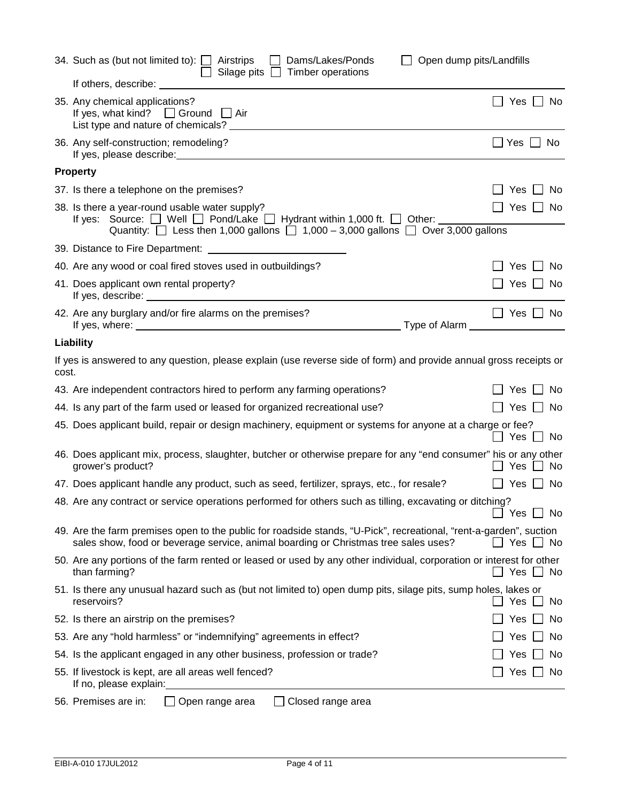|       | 34. Such as (but not limited to): $\Box$ Airstrips<br>Dams/Lakes/Ponds<br>$\mathbf{L}$<br>Silage pits $\Box$ Timber operations                                                                                                                             | Open dump pits/Landfills      |
|-------|------------------------------------------------------------------------------------------------------------------------------------------------------------------------------------------------------------------------------------------------------------|-------------------------------|
|       | If others, describe:                                                                                                                                                                                                                                       |                               |
|       | 35. Any chemical applications?<br>If yes, what kind? $\Box$ Ground $\Box$ Air<br>List type and nature of chemicals? ____                                                                                                                                   | Yes $\Box$ No<br>$\mathsf{L}$ |
|       | 36. Any self-construction; remodeling?                                                                                                                                                                                                                     | $\Box$ Yes $\Box$ No          |
|       | <b>Property</b>                                                                                                                                                                                                                                            |                               |
|       | 37. Is there a telephone on the premises?                                                                                                                                                                                                                  | ∣ No<br>Yes I                 |
|       | 38. Is there a year-round usable water supply?<br>If yes: Source: $\Box$ Well $\Box$ Pond/Lake $\Box$ Hydrant within 1,000 ft. $\Box$ Other: $\Box$ Other: Quantity: $\Box$ Less then 1,000 gallons $\Box$ 1,000 – 3,000 gallons $\Box$ Over 3,000 gallons | $\Box$ Yes $\Box$<br>_  No    |
|       |                                                                                                                                                                                                                                                            |                               |
|       | 40. Are any wood or coal fired stoves used in outbuildings?                                                                                                                                                                                                | Yes<br><b>No</b>              |
|       | 41. Does applicant own rental property?                                                                                                                                                                                                                    | Yes     No                    |
|       | 42. Are any burglary and/or fire alarms on the premises?                                                                                                                                                                                                   | $\Box$ Yes $\Box$ No          |
|       | Liability                                                                                                                                                                                                                                                  |                               |
| cost. | If yes is answered to any question, please explain (use reverse side of form) and provide annual gross receipts or                                                                                                                                         |                               |
|       | 43. Are independent contractors hired to perform any farming operations?                                                                                                                                                                                   | ∐ No<br>Yes                   |
|       | 44. Is any part of the farm used or leased for organized recreational use?                                                                                                                                                                                 | Yes $\Box$ No<br>$\perp$      |
|       | 45. Does applicant build, repair or design machinery, equipment or systems for anyone at a charge or fee?                                                                                                                                                  | Yes<br>No                     |
|       | 46. Does applicant mix, process, slaughter, butcher or otherwise prepare for any "end consumer" his or any other<br>grower's product?                                                                                                                      | No<br>Yes                     |
|       | 47. Does applicant handle any product, such as seed, fertilizer, sprays, etc., for resale?                                                                                                                                                                 | l I Yes I<br>No.              |
|       | 48. Are any contract or service operations performed for others such as tilling, excavating or ditching?                                                                                                                                                   | Yes □ No                      |
|       | 49. Are the farm premises open to the public for roadside stands, "U-Pick", recreational, "rent-a-garden", suction<br>sales show, food or beverage service, animal boarding or Christmas tree sales uses?                                                  | Yes $\Box$ No                 |
|       | 50. Are any portions of the farm rented or leased or used by any other individual, corporation or interest for other<br>than farming?                                                                                                                      | $\Box$ Yes $\Box$ No          |
|       | 51. Is there any unusual hazard such as (but not limited to) open dump pits, silage pits, sump holes, lakes or<br>reservoirs?                                                                                                                              | Yes<br>No                     |
|       | 52. Is there an airstrip on the premises?                                                                                                                                                                                                                  | No<br>Yes                     |
|       | 53. Are any "hold harmless" or "indemnifying" agreements in effect?                                                                                                                                                                                        | No<br><b>Yes</b>              |
|       | 54. Is the applicant engaged in any other business, profession or trade?                                                                                                                                                                                   | No<br>Yes                     |
|       | 55. If livestock is kept, are all areas well fenced?                                                                                                                                                                                                       | Yes  <br>No<br>$\blacksquare$ |
|       |                                                                                                                                                                                                                                                            |                               |

56. Premises are in:  $\Box$  Open range area  $\Box$  Closed range area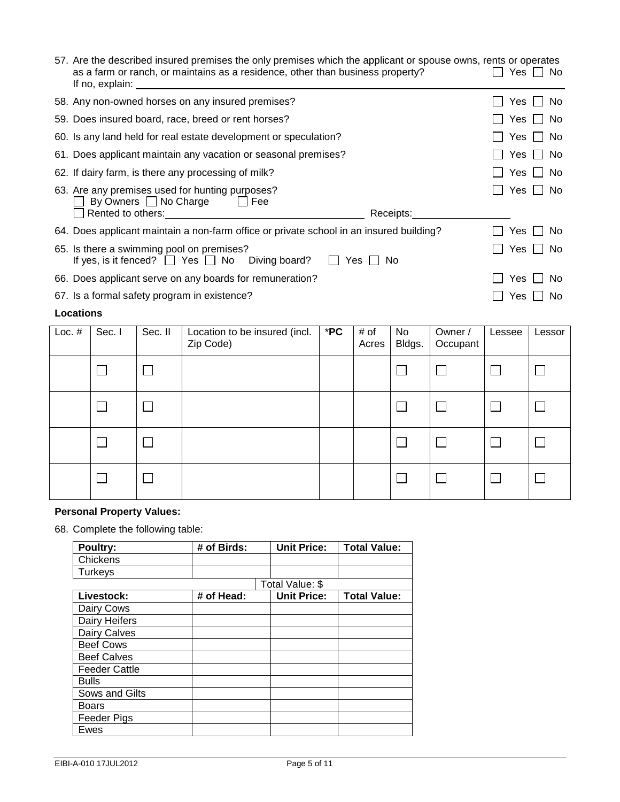| 57. Are the described insured premises the only premises which the applicant or spouse owns, rents or operates<br>as a farm or ranch, or maintains as a residence, other than business property?<br>If no, explain: The contract of the contract of the contract of the contract of the contract of the contract of the contract of the contract of the contract of the contract of the contract of the contract of the contract o | IIYesIINo                  |
|------------------------------------------------------------------------------------------------------------------------------------------------------------------------------------------------------------------------------------------------------------------------------------------------------------------------------------------------------------------------------------------------------------------------------------|----------------------------|
| 58. Any non-owned horses on any insured premises?                                                                                                                                                                                                                                                                                                                                                                                  | Yes<br>No.<br>$\mathbf{I}$ |
| 59. Does insured board, race, breed or rent horses?                                                                                                                                                                                                                                                                                                                                                                                | Yes I I No                 |
| 60. Is any land held for real estate development or speculation?                                                                                                                                                                                                                                                                                                                                                                   | Yes    <br>No.             |
| 61. Does applicant maintain any vacation or seasonal premises?                                                                                                                                                                                                                                                                                                                                                                     | Yes II<br>No.              |
| 62. If dairy farm, is there any processing of milk?                                                                                                                                                                                                                                                                                                                                                                                | Yes     No                 |
| 63. Are any premises used for hunting purposes?<br>By Owners □ No Charge □ Fee<br>Rented to others: <u>contained</u> and a series of the series of the series of the series of the series of the series of<br>Receipts:                                                                                                                                                                                                            | Yes I I No                 |
| 64. Does applicant maintain a non-farm office or private school in an insured building?                                                                                                                                                                                                                                                                                                                                            | Yes.<br>No.                |
| 65. Is there a swimming pool on premises?<br>If yes, is it fenced? $\Box$ Yes $\Box$ No Diving board?<br>Yes I<br>No.                                                                                                                                                                                                                                                                                                              | Yes<br>No.                 |
| 66. Does applicant serve on any boards for remuneration?                                                                                                                                                                                                                                                                                                                                                                           | No.<br>Yes                 |
| 67. Is a formal safety program in existence?                                                                                                                                                                                                                                                                                                                                                                                       | No.<br>Yes                 |
| <b>Locations</b>                                                                                                                                                                                                                                                                                                                                                                                                                   |                            |

| Loc. $#$ | Sec. I         | Sec. II        | Location to be insured (incl.<br>Zip Code) | $*$ PC | # of<br>Acres | No<br>Bldgs. | Owner /<br>Occupant | Lessee | Lessor |
|----------|----------------|----------------|--------------------------------------------|--------|---------------|--------------|---------------------|--------|--------|
|          | П              | $\mathcal{L}$  |                                            |        |               | ┌            |                     |        |        |
|          | L              | $\blacksquare$ |                                            |        |               |              |                     |        |        |
|          |                | $\mathcal{L}$  |                                            |        |               |              |                     |        |        |
|          | $\mathbb{R}^n$ | $\mathcal{L}$  |                                            |        |               |              |                     |        |        |

# **Personal Property Values:**

68. Complete the following table:

| Poultry:             | # of Birds: | <b>Unit Price:</b> | <b>Total Value:</b> |
|----------------------|-------------|--------------------|---------------------|
| Chickens             |             |                    |                     |
| Turkeys              |             |                    |                     |
|                      |             | Total Value: \$    |                     |
| Livestock:           | # of Head:  | <b>Unit Price:</b> | <b>Total Value:</b> |
| Dairy Cows           |             |                    |                     |
| Dairy Heifers        |             |                    |                     |
| Dairy Calves         |             |                    |                     |
| <b>Beef Cows</b>     |             |                    |                     |
| <b>Beef Calves</b>   |             |                    |                     |
| <b>Feeder Cattle</b> |             |                    |                     |
| <b>Bulls</b>         |             |                    |                     |
| Sows and Gilts       |             |                    |                     |
| Boars                |             |                    |                     |
| Feeder Pigs          |             |                    |                     |
| Ewes                 |             |                    |                     |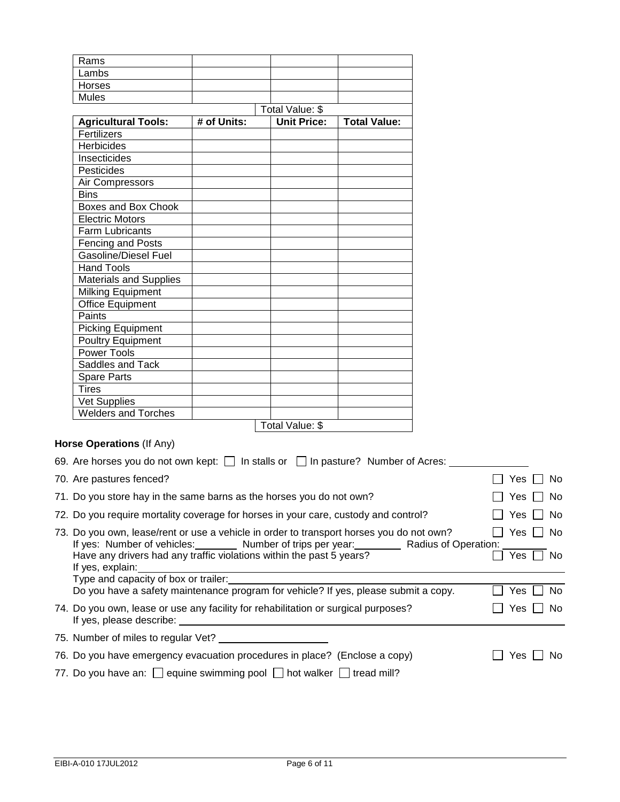| Rams                          |             |                    |                     |
|-------------------------------|-------------|--------------------|---------------------|
| Lambs                         |             |                    |                     |
| Horses                        |             |                    |                     |
| Mules                         |             |                    |                     |
|                               |             |                    |                     |
| <b>Agricultural Tools:</b>    | # of Units: | <b>Unit Price:</b> | <b>Total Value:</b> |
| Fertilizers                   |             |                    |                     |
| Herbicides                    |             |                    |                     |
| Insecticides                  |             |                    |                     |
| Pesticides                    |             |                    |                     |
| Air Compressors               |             |                    |                     |
| <b>Bins</b>                   |             |                    |                     |
| Boxes and Box Chook           |             |                    |                     |
| <b>Electric Motors</b>        |             |                    |                     |
| <b>Farm Lubricants</b>        |             |                    |                     |
| Fencing and Posts             |             |                    |                     |
| Gasoline/Diesel Fuel          |             |                    |                     |
| <b>Hand Tools</b>             |             |                    |                     |
| <b>Materials and Supplies</b> |             |                    |                     |
| Milking Equipment             |             |                    |                     |
| <b>Office Equipment</b>       |             |                    |                     |
| Paints                        |             |                    |                     |
| <b>Picking Equipment</b>      |             |                    |                     |
| <b>Poultry Equipment</b>      |             |                    |                     |
| <b>Power Tools</b>            |             |                    |                     |
| Saddles and Tack              |             |                    |                     |
| <b>Spare Parts</b>            |             |                    |                     |
| <b>Tires</b>                  |             |                    |                     |
| Vet Supplies                  |             |                    |                     |
| <b>Welders and Torches</b>    |             |                    |                     |
|                               |             | Total Value: \$    |                     |

## **Horse Operations** (If Any)

| 69. Are horses you do not own kept: $\Box$ In stalls or $\Box$ In pasture? Number of Acres:                                                                            |       |            |
|------------------------------------------------------------------------------------------------------------------------------------------------------------------------|-------|------------|
| 70. Are pastures fenced?                                                                                                                                               | Yes   | No.        |
| 71. Do you store hay in the same barns as the horses you do not own?                                                                                                   | Yes I | No.        |
| 72. Do you require mortality coverage for horses in your care, custody and control?                                                                                    | Yes   | No.        |
| 73. Do you own, lease/rent or use a vehicle in order to transport horses you do not own?<br>If yes: Number of vehicles: Number of trips per year: Radius of Operation: |       | Yes I I No |
| Have any drivers had any traffic violations within the past 5 years?<br>If yes, explain:                                                                               | Yes   | No.        |
| Type and capacity of box or trailer:                                                                                                                                   |       |            |
| Do you have a safety maintenance program for vehicle? If yes, please submit a copy.                                                                                    | Yes   | No.        |
| 74. Do you own, lease or use any facility for rehabilitation or surgical purposes?<br>If yes, please describe: If yes, please describe:                                | Yes   | No.        |
| 75. Number of miles to regular Vet? ________                                                                                                                           |       |            |
| 76. Do you have emergency evacuation procedures in place? (Enclose a copy)                                                                                             | Yes   | No.        |
| 77. Do you have an: $\Box$ equine swimming pool $\Box$ hot walker $\Box$ tread mill?                                                                                   |       |            |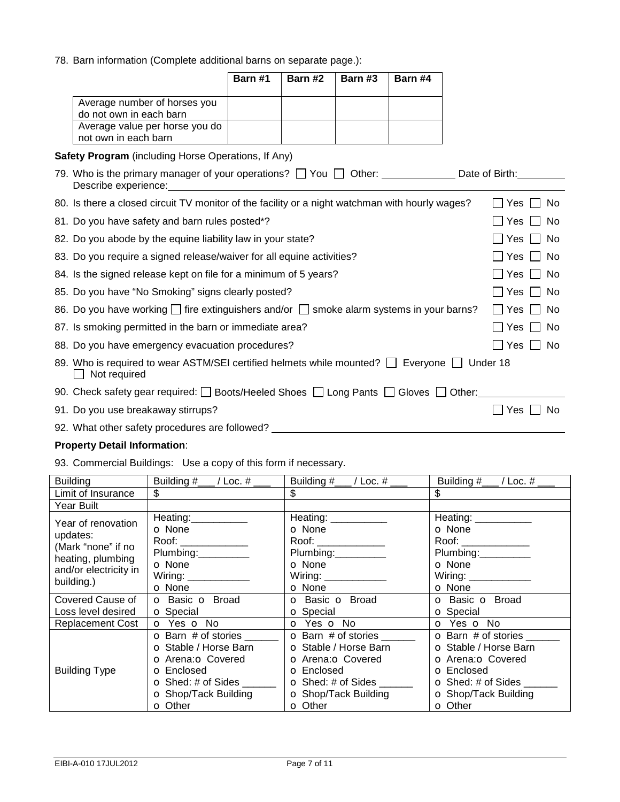78. Barn information (Complete additional barns on separate page.):

|                                                                       |                                                                                                                   | Barn #1 | Barn #2                                                                                                               | Barn #3 | Barn #4                       |  |                      |
|-----------------------------------------------------------------------|-------------------------------------------------------------------------------------------------------------------|---------|-----------------------------------------------------------------------------------------------------------------------|---------|-------------------------------|--|----------------------|
|                                                                       | Average number of horses you<br>do not own in each barn<br>Average value per horse you do<br>not own in each barn |         |                                                                                                                       |         |                               |  |                      |
|                                                                       | Safety Program (including Horse Operations, If Any)                                                               |         |                                                                                                                       |         |                               |  |                      |
|                                                                       | 79. Who is the primary manager of your operations? □ You □ Other: _____________<br>Describe experience:           |         | <u>and the state of the state of the state of the state of the state of the state of the state of the state of th</u> |         |                               |  | Date of Birth:       |
|                                                                       | 80. Is there a closed circuit TV monitor of the facility or a night watchman with hourly wages?                   |         |                                                                                                                       |         |                               |  | Yes<br>No.           |
|                                                                       | 81. Do you have safety and barn rules posted*?                                                                    |         |                                                                                                                       |         |                               |  | <b>Yes</b><br>∣ No   |
|                                                                       | 82. Do you abode by the equine liability law in your state?                                                       |         |                                                                                                                       |         |                               |  | Yes     No           |
| 83. Do you require a signed release/waiver for all equine activities? |                                                                                                                   |         |                                                                                                                       |         | Yes<br>No                     |  |                      |
| 84. Is the signed release kept on file for a minimum of 5 years?      |                                                                                                                   |         |                                                                                                                       |         | <b>No</b><br>Yes<br>$\perp$   |  |                      |
| 85. Do you have "No Smoking" signs clearly posted?                    |                                                                                                                   |         |                                                                                                                       |         | Yes<br>l I No<br>$\mathbf{I}$ |  |                      |
|                                                                       | 86. Do you have working $\Box$ fire extinguishers and/or $\Box$ smoke alarm systems in your barns?                |         |                                                                                                                       |         |                               |  | $\Box$ Yes<br>∣ No   |
|                                                                       | 87. Is smoking permitted in the barn or immediate area?                                                           |         |                                                                                                                       |         |                               |  | Yes I I No           |
|                                                                       | 88. Do you have emergency evacuation procedures?                                                                  |         |                                                                                                                       |         |                               |  | Yes I I No<br>$\Box$ |
|                                                                       | 89. Who is required to wear ASTM/SEI certified helmets while mounted? $\Box$ Everyone $\Box$<br>Not required      |         |                                                                                                                       |         |                               |  | Under 18             |
|                                                                       | 90. Check safety gear required: □ Boots/Heeled Shoes □ Long Pants □ Gloves □ Other:_                              |         |                                                                                                                       |         |                               |  |                      |
|                                                                       | 91. Do you use breakaway stirrups?                                                                                |         |                                                                                                                       |         |                               |  | Yes<br><b>No</b>     |
|                                                                       | 92. What other safety procedures are followed?                                                                    |         |                                                                                                                       |         |                               |  |                      |

### **Property Detail Information**:

93. Commercial Buildings: Use a copy of this form if necessary.

| <b>Building</b>         | Building #_                                    | Building #__                  | Building #_                   |
|-------------------------|------------------------------------------------|-------------------------------|-------------------------------|
|                         | $\_$ / Loc. # $\_$                             | $\_$ / Loc. # $\_$            | _ / Loc. # ___                |
| Limit of Insurance      | \$                                             | \$                            | \$                            |
| Year Built              |                                                |                               |                               |
| Year of renovation      | Heating:___________                            | Heating: __________           | Heating: __________           |
| updates:                | <b>O</b> None                                  | <b>o</b> None                 | <b>O</b> None                 |
| (Mark "none" if no      | Roof: ______________                           | Roof: _______________         |                               |
| heating, plumbing       | Plumbing:                                      | Plumbing:__________           | Plumbing: Plumbing:           |
| and/or electricity in   | <b>O</b> None                                  | <b>O</b> None                 | <b>O</b> None                 |
| building.)              | Wiring: _____________                          | Wiring: _____________         |                               |
|                         | <b>o</b> None<br><b>o</b> Basic <b>o</b> Broad | <b>O</b> None                 | <b>O</b> None                 |
| Covered Cause of        | <b>o</b> Special                               | <b>o</b> Basic <b>o</b> Broad | <b>o</b> Basic <b>o</b> Broad |
| Loss level desired      |                                                | <b>O</b> Special              | <b>o</b> Special              |
| <b>Replacement Cost</b> | <b>o</b> Yes <b>o</b> No                       | o Yes o No                    | <b>O</b> Yes <b>O</b> No      |
| <b>Building Type</b>    | <b>O</b> Barn # of stories                     | <b>O</b> Barn # of stories    | <b>o</b> Barn # of stories    |
|                         | O Stable / Horse Barn                          | O Stable / Horse Barn         | <b>O</b> Stable / Horse Barn  |
|                         | <b>o</b> Arena: <b>o</b> Covered               | <b>O</b> Arena: O Covered     | <b>O</b> Arena: O Covered     |
|                         | <b>O</b> Enclosed                              | <b>O</b> Enclosed             | <b>O</b> Enclosed             |
|                         | $\bullet$ Shed: # of Sides                     | $\bullet$ Shed: # of Sides    | $\bullet$ Shed: # of Sides    |
|                         | <b>o</b> Shop/Tack Building                    | <b>o</b> Shop/Tack Building   | <b>o</b> Shop/Tack Building   |
|                         | <b>O</b> Other                                 | <b>o</b> Other                | <b>O</b> Other                |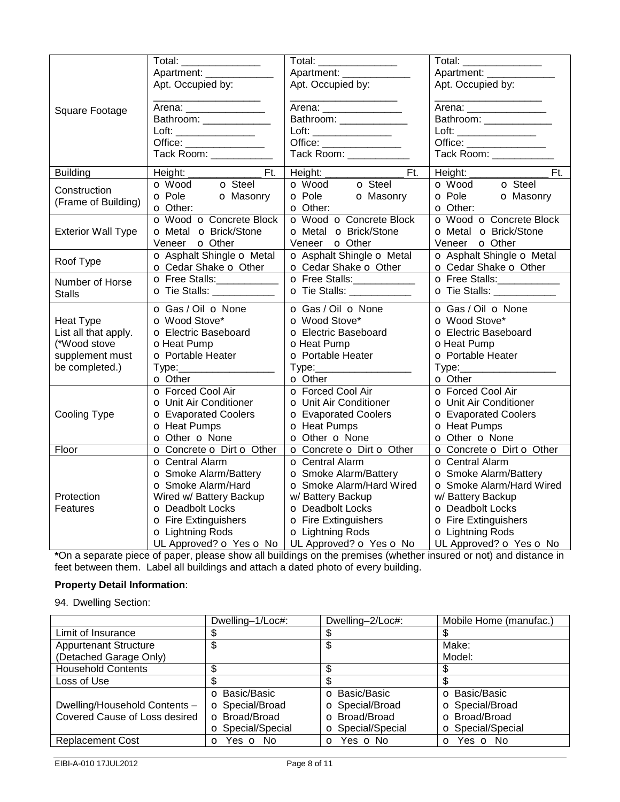|                           | Total: _______________            | Total: _______________                                               | Total: _______________                                                                                                                                                                                                                                                                                                                                                |
|---------------------------|-----------------------------------|----------------------------------------------------------------------|-----------------------------------------------------------------------------------------------------------------------------------------------------------------------------------------------------------------------------------------------------------------------------------------------------------------------------------------------------------------------|
|                           | Apartment: ____________           | Apartment: _______________                                           | Apartment: ___________                                                                                                                                                                                                                                                                                                                                                |
|                           | Apt. Occupied by:                 | Apt. Occupied by:                                                    | Apt. Occupied by:                                                                                                                                                                                                                                                                                                                                                     |
| Square Footage            | Arena: ________________           | Arena: _________________                                             | Arena: ________________                                                                                                                                                                                                                                                                                                                                               |
|                           | Bathroom: ______________          | Bathroom: _______________                                            | Bathroom: ______________                                                                                                                                                                                                                                                                                                                                              |
|                           |                                   |                                                                      | $\begin{picture}(20,5) \put(0,0){\vector(1,0){100}} \put(15,0){\vector(1,0){100}} \put(15,0){\vector(1,0){100}} \put(15,0){\vector(1,0){100}} \put(15,0){\vector(1,0){100}} \put(15,0){\vector(1,0){100}} \put(15,0){\vector(1,0){100}} \put(15,0){\vector(1,0){100}} \put(15,0){\vector(1,0){100}} \put(15,0){\vector(1,0){100}} \put(15,0){\vector(1,0){100}} \put$ |
|                           | Office: _________________         | Office: ______________                                               | Office: ________________                                                                                                                                                                                                                                                                                                                                              |
|                           | Tack Room: ___________            | Tack Room: ___________                                               | Tack Room: ___________                                                                                                                                                                                                                                                                                                                                                |
| <b>Building</b>           | Ft.                               | $\overline{Ft}$ .<br>Height:<br>O Wood  O Steel<br>O Pole  O Masonry | $\overline{Ft}$ .                                                                                                                                                                                                                                                                                                                                                     |
| Construction              | O Wood O Steel<br>O Pole O Masonr |                                                                      | o Wood o Steel                                                                                                                                                                                                                                                                                                                                                        |
| (Frame of Building)       | <b>o</b> Masonry                  |                                                                      | <b>o</b> Pole<br><b>o</b> Masonry                                                                                                                                                                                                                                                                                                                                     |
|                           | <b>o</b> Other:                   | <b>o</b> Other:                                                      | <b>o</b> Other:                                                                                                                                                                                                                                                                                                                                                       |
|                           | o Wood o Concrete Block           | o Wood o Concrete Block                                              | o Wood o Concrete Block                                                                                                                                                                                                                                                                                                                                               |
| <b>Exterior Wall Type</b> | o Metal o Brick/Stone             | o Metal o Brick/Stone                                                | o Metal o Brick/Stone                                                                                                                                                                                                                                                                                                                                                 |
|                           | Veneer o Other                    | Veneer o Other                                                       | Veneer o Other                                                                                                                                                                                                                                                                                                                                                        |
|                           | o Asphalt Shingle o Metal         | o Asphalt Shingle o Metal                                            | o Asphalt Shingle o Metal                                                                                                                                                                                                                                                                                                                                             |
| Roof Type                 | o Cedar Shake o Other             | o Cedar Shake o Other                                                | o Cedar Shake o Other                                                                                                                                                                                                                                                                                                                                                 |
| Number of Horse           | O Free Stalls:                    | O Free Stalls:___________                                            | O Free Stalls:                                                                                                                                                                                                                                                                                                                                                        |
| <b>Stalls</b>             | <b>o</b> Tie Stalls: __________   | <b>o</b> Tie Stalls: ____________                                    | <b>o</b> Tie Stalls: ____________                                                                                                                                                                                                                                                                                                                                     |
|                           | o Gas / Oil o None                | o Gas / Oil o None                                                   | o Gas / Oil o None                                                                                                                                                                                                                                                                                                                                                    |
| <b>Heat Type</b>          | o Wood Stove*                     | o Wood Stove*                                                        | o Wood Stove*                                                                                                                                                                                                                                                                                                                                                         |
| List all that apply.      | O Electric Baseboard              | <b>o</b> Electric Baseboard                                          | O Electric Baseboard                                                                                                                                                                                                                                                                                                                                                  |
| (*Wood stove              | oHeat Pump                        | oHeat Pump                                                           | oHeat Pump                                                                                                                                                                                                                                                                                                                                                            |
| supplement must           | <b>o</b> Portable Heater          | <b>o</b> Portable Heater                                             | <b>o</b> Portable Heater                                                                                                                                                                                                                                                                                                                                              |
| be completed.)            |                                   |                                                                      | Type:________________                                                                                                                                                                                                                                                                                                                                                 |
|                           | <b>o</b> Other                    | <b>o</b> Other                                                       | <b>o</b> Other                                                                                                                                                                                                                                                                                                                                                        |
|                           | O Forced Cool Air                 | <b>O</b> Forced Cool Air                                             | o Forced Cool Air                                                                                                                                                                                                                                                                                                                                                     |
|                           | O Unit Air Conditioner            | O Unit Air Conditioner                                               | O Unit Air Conditioner                                                                                                                                                                                                                                                                                                                                                |
| Cooling Type              | <b>o</b> Evaporated Coolers       | <b>o</b> Evaporated Coolers                                          | <b>o</b> Evaporated Coolers                                                                                                                                                                                                                                                                                                                                           |
|                           | <b>o</b> Heat Pumps               | <b>o</b> Heat Pumps                                                  | <b>o</b> Heat Pumps                                                                                                                                                                                                                                                                                                                                                   |
|                           | o Other o None                    | o Other o None                                                       | o Other o None                                                                                                                                                                                                                                                                                                                                                        |
| Floor                     | o Concrete o Dirt o Other         | o Concrete o Dirt o Other                                            | o Concrete o Dirt o Other                                                                                                                                                                                                                                                                                                                                             |
|                           | <b>o</b> Central Alarm            | <b>o</b> Central Alarm                                               | <b>o</b> Central Alarm                                                                                                                                                                                                                                                                                                                                                |
|                           | <b>o</b> Smoke Alarm/Battery      | o Smoke Alarm/Battery                                                | o Smoke Alarm/Battery                                                                                                                                                                                                                                                                                                                                                 |
|                           | <b>o</b> Smoke Alarm/Hard         | o Smoke Alarm/Hard Wired                                             | o Smoke Alarm/Hard Wired                                                                                                                                                                                                                                                                                                                                              |
| Protection                | Wired w/ Battery Backup           | w/ Battery Backup                                                    | w/ Battery Backup                                                                                                                                                                                                                                                                                                                                                     |
| Features                  | O Deadbolt Locks                  | O Deadbolt Locks                                                     | O Deadbolt Locks                                                                                                                                                                                                                                                                                                                                                      |
|                           | <b>O</b> Fire Extinguishers       | <b>o</b> Fire Extinguishers                                          | <b>o</b> Fire Extinguishers                                                                                                                                                                                                                                                                                                                                           |
|                           | <b>o</b> Lightning Rods           | <b>o</b> Lightning Rods                                              | o Lightning Rods                                                                                                                                                                                                                                                                                                                                                      |
|                           | UL Approved? o Yes o No           | UL Approved? o Yes o No                                              | UL Approved? o Yes o No                                                                                                                                                                                                                                                                                                                                               |

**\***On a separate piece of paper, please show all buildings on the premises (whether insured or not) and distance in feet between them. Label all buildings and attach a dated photo of every building.

### **Property Detail Information**:

94. Dwelling Section:

|                               | Dwelling-1/Loc#:         | Dwelling-2/Loc#:         | Mobile Home (manufac.)   |
|-------------------------------|--------------------------|--------------------------|--------------------------|
| Limit of Insurance            |                          |                          |                          |
| <b>Appurtenant Structure</b>  | \$                       |                          | Make:                    |
| (Detached Garage Only)        |                          |                          | Model:                   |
| <b>Household Contents</b>     |                          |                          |                          |
| Loss of Use                   |                          |                          |                          |
|                               | <b>O</b> Basic/Basic     | <b>O</b> Basic/Basic     | <b>O</b> Basic/Basic     |
| Dwelling/Household Contents - | <b>o</b> Special/Broad   | <b>o</b> Special/Broad   | <b>o</b> Special/Broad   |
| Covered Cause of Loss desired | <b>o</b> Broad/Broad     | <b>o</b> Broad/Broad     | <b>o</b> Broad/Broad     |
|                               | <b>o</b> Special/Special | <b>o</b> Special/Special | <b>o</b> Special/Special |
| <b>Replacement Cost</b>       | o Yes o No               | O Yes O No               | o Yes o No               |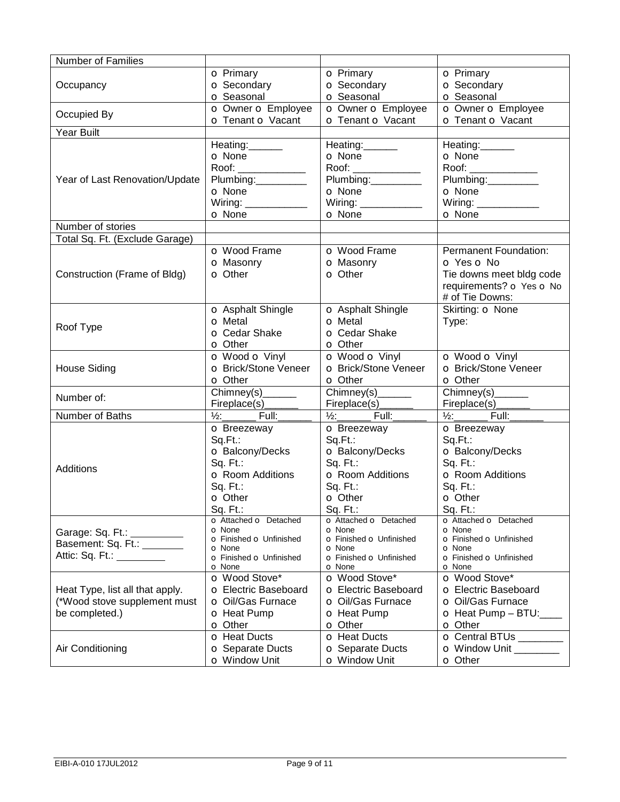| <b>Number of Families</b>                                 |                                                                                                                                                                                                                                                                                                                                                                     |                                                                                                                                                                                                                                                                                                                                                                     |                                          |
|-----------------------------------------------------------|---------------------------------------------------------------------------------------------------------------------------------------------------------------------------------------------------------------------------------------------------------------------------------------------------------------------------------------------------------------------|---------------------------------------------------------------------------------------------------------------------------------------------------------------------------------------------------------------------------------------------------------------------------------------------------------------------------------------------------------------------|------------------------------------------|
|                                                           | <b>O</b> Primary                                                                                                                                                                                                                                                                                                                                                    | <b>o</b> Primary                                                                                                                                                                                                                                                                                                                                                    | <b>o</b> Primary                         |
| Occupancy                                                 | <b>o</b> Secondary                                                                                                                                                                                                                                                                                                                                                  | <b>o</b> Secondary                                                                                                                                                                                                                                                                                                                                                  | <b>o</b> Secondary                       |
|                                                           | <b>o</b> Seasonal                                                                                                                                                                                                                                                                                                                                                   | <b>o</b> Seasonal                                                                                                                                                                                                                                                                                                                                                   | <b>o</b> Seasonal                        |
|                                                           | O Owner O Employee                                                                                                                                                                                                                                                                                                                                                  | O Owner O Employee                                                                                                                                                                                                                                                                                                                                                  | o Owner o Employee                       |
| Occupied By                                               | o Tenant o Vacant                                                                                                                                                                                                                                                                                                                                                   | <b>o Tenant o Vacant</b>                                                                                                                                                                                                                                                                                                                                            | <b>o Tenant o Vacant</b>                 |
| Year Built                                                |                                                                                                                                                                                                                                                                                                                                                                     |                                                                                                                                                                                                                                                                                                                                                                     |                                          |
|                                                           | Heating:                                                                                                                                                                                                                                                                                                                                                            | Heating:                                                                                                                                                                                                                                                                                                                                                            | Heating:                                 |
|                                                           | <b>O</b> None                                                                                                                                                                                                                                                                                                                                                       | <b>O</b> None                                                                                                                                                                                                                                                                                                                                                       | <b>O</b> None                            |
|                                                           | $\begin{picture}(20,20) \put(0,0){\vector(1,0){100}} \put(15,0){\vector(1,0){100}} \put(15,0){\vector(1,0){100}} \put(15,0){\vector(1,0){100}} \put(15,0){\vector(1,0){100}} \put(15,0){\vector(1,0){100}} \put(15,0){\vector(1,0){100}} \put(15,0){\vector(1,0){100}} \put(15,0){\vector(1,0){100}} \put(15,0){\vector(1,0){100}} \put(15,0){\vector(1,0){100}} \$ | $\begin{picture}(20,20) \put(0,0){\vector(1,0){100}} \put(15,0){\vector(1,0){100}} \put(15,0){\vector(1,0){100}} \put(15,0){\vector(1,0){100}} \put(15,0){\vector(1,0){100}} \put(15,0){\vector(1,0){100}} \put(15,0){\vector(1,0){100}} \put(15,0){\vector(1,0){100}} \put(15,0){\vector(1,0){100}} \put(15,0){\vector(1,0){100}} \put(15,0){\vector(1,0){100}} \$ | Roof: ______________                     |
| Year of Last Renovation/Update                            | Plumbing:                                                                                                                                                                                                                                                                                                                                                           | Plumbing:__________                                                                                                                                                                                                                                                                                                                                                 | Plumbing:                                |
|                                                           | <b>O</b> None                                                                                                                                                                                                                                                                                                                                                       | <b>o</b> None                                                                                                                                                                                                                                                                                                                                                       | <b>O</b> None                            |
|                                                           | Wiring: $\frac{1}{2}$ Wiring:                                                                                                                                                                                                                                                                                                                                       | Wiring: ______________                                                                                                                                                                                                                                                                                                                                              | Wiring: _____________                    |
|                                                           | <b>o</b> None                                                                                                                                                                                                                                                                                                                                                       | O None                                                                                                                                                                                                                                                                                                                                                              | <b>o</b> None                            |
| Number of stories                                         |                                                                                                                                                                                                                                                                                                                                                                     |                                                                                                                                                                                                                                                                                                                                                                     |                                          |
| Total Sq. Ft. (Exclude Garage)                            |                                                                                                                                                                                                                                                                                                                                                                     |                                                                                                                                                                                                                                                                                                                                                                     |                                          |
|                                                           | <b>o</b> Wood Frame                                                                                                                                                                                                                                                                                                                                                 | <b>o</b> Wood Frame                                                                                                                                                                                                                                                                                                                                                 | <b>Permanent Foundation:</b>             |
|                                                           | <b>o</b> Masonry                                                                                                                                                                                                                                                                                                                                                    | <b>o</b> Masonry                                                                                                                                                                                                                                                                                                                                                    | O Yes O No                               |
| Construction (Frame of Bldg)                              | <b>o</b> Other                                                                                                                                                                                                                                                                                                                                                      | <b>o</b> Other                                                                                                                                                                                                                                                                                                                                                      | Tie downs meet bldg code                 |
|                                                           |                                                                                                                                                                                                                                                                                                                                                                     |                                                                                                                                                                                                                                                                                                                                                                     | requirements? o Yes o No                 |
|                                                           |                                                                                                                                                                                                                                                                                                                                                                     |                                                                                                                                                                                                                                                                                                                                                                     | # of Tie Downs:                          |
|                                                           | <b>o</b> Asphalt Shingle                                                                                                                                                                                                                                                                                                                                            | <b>o</b> Asphalt Shingle                                                                                                                                                                                                                                                                                                                                            | Skirting: O None                         |
|                                                           | <b>o</b> Metal                                                                                                                                                                                                                                                                                                                                                      | <b>o</b> Metal                                                                                                                                                                                                                                                                                                                                                      | Type:                                    |
| Roof Type                                                 | <b>o</b> Cedar Shake                                                                                                                                                                                                                                                                                                                                                | <b>o</b> Cedar Shake                                                                                                                                                                                                                                                                                                                                                |                                          |
|                                                           | <b>O</b> Other                                                                                                                                                                                                                                                                                                                                                      | <b>o</b> Other                                                                                                                                                                                                                                                                                                                                                      |                                          |
|                                                           | <b>O</b> Wood <b>O</b> Vinyl                                                                                                                                                                                                                                                                                                                                        | O Wood O Vinyl                                                                                                                                                                                                                                                                                                                                                      | o Wood o Vinyl                           |
| <b>House Siding</b>                                       | <b>o</b> Brick/Stone Veneer                                                                                                                                                                                                                                                                                                                                         | <b>o</b> Brick/Stone Veneer                                                                                                                                                                                                                                                                                                                                         | <b>o</b> Brick/Stone Veneer              |
|                                                           | <b>o</b> Other                                                                                                                                                                                                                                                                                                                                                      | <b>o</b> Other                                                                                                                                                                                                                                                                                                                                                      | <b>o</b> Other                           |
|                                                           | Chimney(s)______                                                                                                                                                                                                                                                                                                                                                    | $Chimney(s)$ <sub>_______</sub>                                                                                                                                                                                                                                                                                                                                     | $\overline{Chimney(s)}$                  |
| Number of:                                                | Fireplace(s)_                                                                                                                                                                                                                                                                                                                                                       | Fireplace(s)_                                                                                                                                                                                                                                                                                                                                                       | Fireplace(s)                             |
| Number of Baths                                           | $\frac{1}{2}$ : Full:                                                                                                                                                                                                                                                                                                                                               | $\frac{1}{2}$ : Full:                                                                                                                                                                                                                                                                                                                                               | 1/2:___________ Full:__                  |
|                                                           | <b>o</b> Breezeway                                                                                                                                                                                                                                                                                                                                                  | <b>o</b> Breezeway                                                                                                                                                                                                                                                                                                                                                  | <b>o</b> Breezeway                       |
|                                                           | Sq.Ft.:                                                                                                                                                                                                                                                                                                                                                             | Sq.Ft.:                                                                                                                                                                                                                                                                                                                                                             | Sq.Ft.:                                  |
|                                                           | O Balcony/Decks                                                                                                                                                                                                                                                                                                                                                     | O Balcony/Decks                                                                                                                                                                                                                                                                                                                                                     | O Balcony/Decks                          |
|                                                           | Sq. Ft.:                                                                                                                                                                                                                                                                                                                                                            | Sq. Ft.:                                                                                                                                                                                                                                                                                                                                                            | Sq. Ft.:                                 |
| Additions                                                 | <b>o</b> Room Additions                                                                                                                                                                                                                                                                                                                                             | <b>o</b> Room Additions                                                                                                                                                                                                                                                                                                                                             | <b>o</b> Room Additions                  |
|                                                           | Sq. Ft.:                                                                                                                                                                                                                                                                                                                                                            | Sq. Ft.:                                                                                                                                                                                                                                                                                                                                                            | Sq. Ft.:                                 |
|                                                           | <b>o</b> Other                                                                                                                                                                                                                                                                                                                                                      | O Other                                                                                                                                                                                                                                                                                                                                                             | <b>O</b> Other                           |
|                                                           | $Sq. Ft.$ :                                                                                                                                                                                                                                                                                                                                                         | Sq. Ft.:                                                                                                                                                                                                                                                                                                                                                            | Sq. Ft.:                                 |
|                                                           | o Attached o Detached                                                                                                                                                                                                                                                                                                                                               | o Attached o Detached                                                                                                                                                                                                                                                                                                                                               | o Attached o Detached                    |
| Garage: Sq. Ft.:                                          | <b>O</b> None<br>o Finished o Unfinished                                                                                                                                                                                                                                                                                                                            | <b>O</b> None<br>o Finished o Unfinished                                                                                                                                                                                                                                                                                                                            | <b>O</b> None<br>o Finished o Unfinished |
| Garage: Sq. Ft.: __________<br>Basement: Sq. Ft.: _______ | <b>O</b> None                                                                                                                                                                                                                                                                                                                                                       | <b>O</b> None                                                                                                                                                                                                                                                                                                                                                       | <b>O</b> None                            |
| Attic: Sq. Ft.: <u>__________</u>                         | o Finished o Unfinished                                                                                                                                                                                                                                                                                                                                             | o Finished o Unfinished                                                                                                                                                                                                                                                                                                                                             | o Finished o Unfinished                  |
|                                                           | <b>O</b> None                                                                                                                                                                                                                                                                                                                                                       | <b>O</b> None                                                                                                                                                                                                                                                                                                                                                       | <b>O</b> None                            |
|                                                           | O Wood Stove*                                                                                                                                                                                                                                                                                                                                                       | o Wood Stove*                                                                                                                                                                                                                                                                                                                                                       | o Wood Stove*                            |
| Heat Type, list all that apply.                           | O Electric Baseboard                                                                                                                                                                                                                                                                                                                                                | O Electric Baseboard                                                                                                                                                                                                                                                                                                                                                | O Electric Baseboard                     |
| (*Wood stove supplement must                              | <b>o</b> Oil/Gas Furnace                                                                                                                                                                                                                                                                                                                                            | O Oil/Gas Furnace                                                                                                                                                                                                                                                                                                                                                   | O Oil/Gas Furnace                        |
| be completed.)                                            | <b>o</b> Heat Pump                                                                                                                                                                                                                                                                                                                                                  | <b>o</b> Heat Pump                                                                                                                                                                                                                                                                                                                                                  | $\bullet$ Heat Pump – BTU:               |
|                                                           | <b>o</b> Other                                                                                                                                                                                                                                                                                                                                                      | <b>o</b> Other                                                                                                                                                                                                                                                                                                                                                      | <b>o</b> Other                           |
|                                                           | <b>o</b> Heat Ducts                                                                                                                                                                                                                                                                                                                                                 | <b>o</b> Heat Ducts                                                                                                                                                                                                                                                                                                                                                 | O Central BTUs ________                  |
| Air Conditioning                                          | <b>O</b> Separate Ducts                                                                                                                                                                                                                                                                                                                                             | <b>O</b> Separate Ducts                                                                                                                                                                                                                                                                                                                                             | O Window Unit ________                   |
|                                                           | <b>o</b> Window Unit                                                                                                                                                                                                                                                                                                                                                | <b>o</b> Window Unit                                                                                                                                                                                                                                                                                                                                                | <b>o</b> Other                           |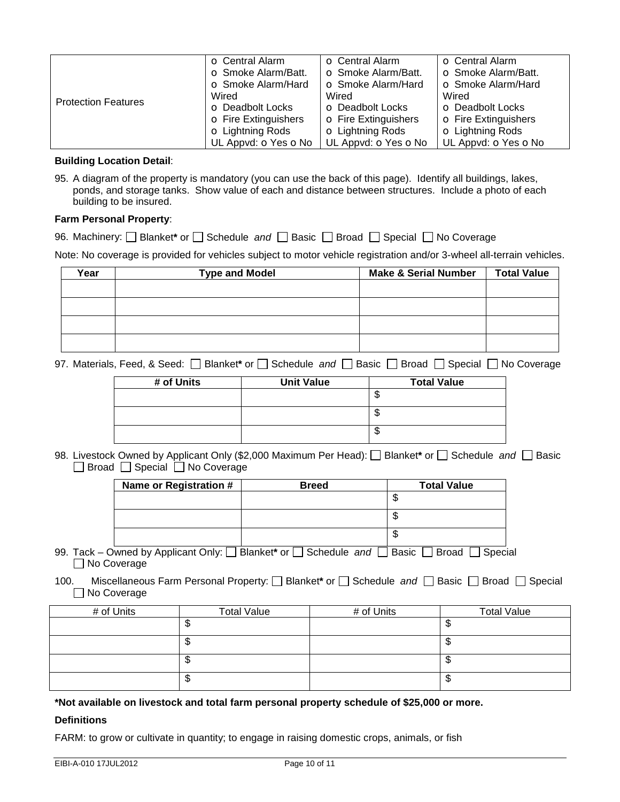|                            | <b>O</b> Central Alarm      | <b>O</b> Central Alarm      | <b>o</b> Central Alarm      |
|----------------------------|-----------------------------|-----------------------------|-----------------------------|
|                            | <b>O</b> Smoke Alarm/Batt.  | <b>O</b> Smoke Alarm/Batt.  | <b>o</b> Smoke Alarm/Batt.  |
|                            | <b>o</b> Smoke Alarm/Hard   | <b>o</b> Smoke Alarm/Hard   | <b>o</b> Smoke Alarm/Hard   |
| <b>Protection Features</b> | Wired                       | Wired                       | Wired                       |
|                            | <b>O</b> Deadbolt Locks     | <b>O</b> Deadbolt Locks     | <b>O</b> Deadbolt Locks     |
|                            | <b>O</b> Fire Extinguishers | <b>O</b> Fire Extinguishers | <b>O</b> Fire Extinguishers |
|                            | <b>o</b> Lightning Rods     | <b>o</b> Lightning Rods     | <b>o</b> Lightning Rods     |
|                            | UL Appvd: OYes ONo          | UL Appvd: OYes ONo          | UL Appvd: OYes ONo          |

#### **Building Location Detail**:

95. A diagram of the property is mandatory (you can use the back of this page). Identify all buildings, lakes, ponds, and storage tanks. Show value of each and distance between structures. Include a photo of each building to be insured.

#### **Farm Personal Property**:

96. Machinery:  $\Box$  Blanket\* or  $\Box$  Schedule and  $\Box$  Basic  $\Box$  Broad  $\Box$  Special  $\Box$  No Coverage

Note: No coverage is provided for vehicles subject to motor vehicle registration and/or 3-wheel all-terrain vehicles.

| Year | <b>Type and Model</b> | <b>Make &amp; Serial Number</b> | <b>Total Value</b> |
|------|-----------------------|---------------------------------|--------------------|
|      |                       |                                 |                    |
|      |                       |                                 |                    |
|      |                       |                                 |                    |
|      |                       |                                 |                    |
|      |                       |                                 |                    |

97. Materials, Feed, & Seed:  $\Box$  Blanket\* or  $\Box$  Schedule and  $\Box$  Basic  $\Box$  Broad  $\Box$  Special  $\Box$  No Coverage

| # of Units | <b>Unit Value</b> | <b>Total Value</b> |
|------------|-------------------|--------------------|
|            |                   | Ψ                  |
|            |                   | Φ                  |
|            |                   | Φ                  |

98. Livestock Owned by Applicant Only (\$2,000 Maximum Per Head): **Blanket**\* or Schedule *and* Basic □ Broad □ Special □ No Coverage

| Name or Registration # | <b>Breed</b> | <b>Total Value</b> |
|------------------------|--------------|--------------------|
|                        |              | s                  |
|                        |              | w                  |
|                        |              | w                  |

- 99. Tack Owned by Applicant Only:  $\Box$  Blanket<sup>\*</sup> or  $\Box$  Schedule and  $\Box$  Basic  $\Box$  Broad  $\Box$  Special ■ No Coverage
- 100. Miscellaneous Farm Personal Property:  $\square$  Blanket\* or  $\square$  Schedule and  $\square$  Basic  $\square$  Broad  $\square$  Special ■ No Coverage

| # of Units | <b>Total Value</b> | # of Units | <b>Total Value</b> |
|------------|--------------------|------------|--------------------|
|            | ٦IJ                |            | w                  |
|            | ٦IJ                |            | w                  |
|            | w                  |            | w                  |
|            | ى                  |            | w                  |

**\*Not available on livestock and total farm personal property schedule of \$25,000 or more.** 

### **Definitions**

FARM: to grow or cultivate in quantity; to engage in raising domestic crops, animals, or fish